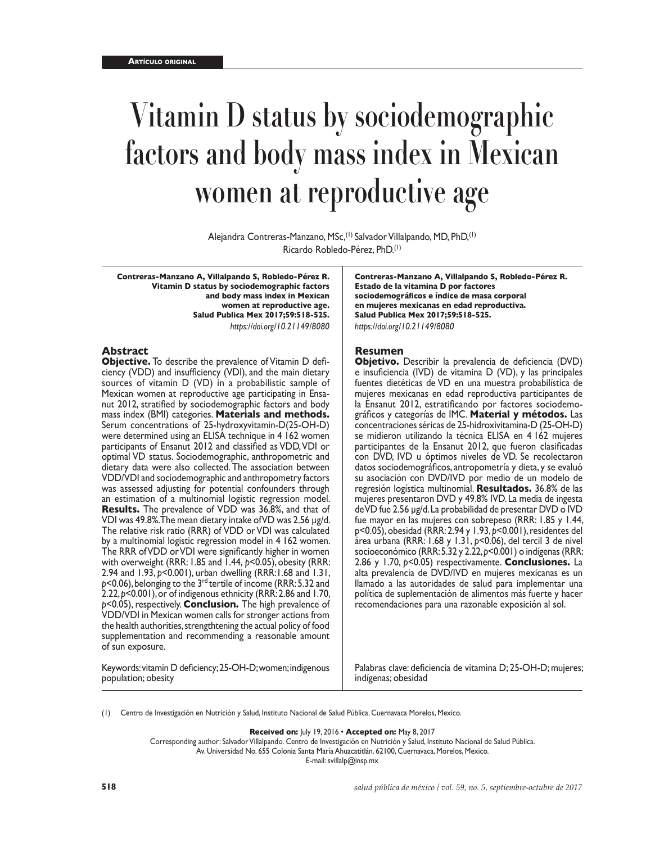# **Vitamin D status by sociodemographic factors and body mass index in Mexican women at reproductive age**

Alejandra Contreras-Manzano, MSc,(1) Salvador Villalpando, MD, PhD,(1) Ricardo Robledo-Pérez, PhD.(1)

**Contreras-Manzano A, Villalpando S, Robledo-Pérez R. Vitamin D status by sociodemographic factors and body mass index in Mexican women at reproductive age. Salud Publica Mex 2017;59:518-525.** *https://doi.org/10.21149/8080*

#### **Abstract**

**Objective.** To describe the prevalence of Vitamin D defi ciency (VDD) and insufficiency (VDI), and the main dietary sources of vitamin D (VD) in a probabilistic sample of Mexican women at reproductive age participating in Ensa nut 2012, stratified by sociodemographic factors and body mass index (BMI) categories. **Materials and methods.**  Serum concentrations of 25-hydroxyvitamin-D(25-OH-D) were determined using an ELISA technique in 4 162 women participants of Ensanut 2012 and classified as VDD, VDI or optimal VD status. Sociodemographic, anthropometric and dietary data were also collected. The association between VDD/VDI and sociodemographic and anthropometry factors was assessed adjusting for potential confounders through an estimation of a multinomial logistic regression model. **Results.** The prevalence of VDD was 36.8%, and that of VDI was 49.8%. The mean dietary intake of VD was 2.56 μg/d. The relative risk ratio (RRR) of VDD or VDI was calculated by a multinomial logistic regression model in 4 162 women. The RRR of VDD or VDI were significantly higher in women with overweight (RRR: 1.85 and 1.44,  $p<$  0.05), obesity (RRR: 2.94 and 1.93, *p*<0.001), urban dwelling (RRR:1.68 and 1.31, *p*<0.06), belonging to the 3rd tertile of income (RRR: 5.32 and 2.22, *p*<0.001), or of indigenous ethnicity (RRR: 2.86 and 1.70, *p*<0.05), respectively. **Conclusion.** The high prevalence of VDD/VDI in Mexican women calls for stronger actions from the health authorities, strengthtening the actual policy of food supplementation and recommending a reasonable amount of sun exposure.

Keywords: vitamin D deficiency; 25-OH-D; women; indigenous population; obesity

**Contreras-Manzano A, Villalpando S, Robledo-Pérez R. Estado de la vitamina D por factores sociodemográficos e índice de masa corporal en mujeres mexicanas en edad reproductiva. Salud Publica Mex 2017;59:518-525.** *https://doi.org/10.21149/8080*

#### **Resumen**

**Objetivo.** Describir la prevalencia de deficiencia (DVD) e insuficiencia (IVD) de vitamina D (VD), y las principales fuentes dietéticas de VD en una muestra probabilística de mujeres mexicanas en edad reproductiva participantes de la Ensanut 2012, estratificando por factores sociodemo gráficos y categorías de IMC. **Material y métodos.** Las concentraciones séricas de 25-hidroxivitamina-D (25-OH-D) se midieron utilizando la técnica ELISA en 4 162 mujeres participantes de la Ensanut 2012, que fueron clasificadas con DVD, IVD u óptimos niveles de VD. Se recolectaron datos sociodemográficos, antropometría y dieta, y se evaluó su asociación con DVD/IVD por medio de un modelo de regresión logística multinomial. **Resultados.** 36.8% de las mujeres presentaron DVD y 49.8% IVD. La media de ingesta de VD fue 2.56 μg/d. La probabilidad de presentar DVD o IVD fue mayor en las mujeres con sobrepeso (RRR: 1.85 y 1.44, p<0.05), obesidad (RRR: 2.94 y 1.93, *p*<0.001), residentes del área urbana (RRR: 1.68 y 1.31, *p*<0.06), del tercil 3 de nivel socioeconómico (RRR: 5.32 y 2.22, *p*<0.001) o indígenas (RRR: 2.86 y 1.70, *p*<0.05) respectivamente. **Conclusiones.** La alta prevalencia de DVD/IVD en mujeres mexicanas es un llamado a las autoridades de salud para implementar una política de suplementación de alimentos más fuerte y hacer recomendaciones para una razonable exposición al sol.

Palabras clave: deficiencia de vitamina D; 25-OH-D; mujeres; indígenas; obesidad

(1) Centro de Investigación en Nutrición y Salud, Instituto Nacional de Salud Pública. Cuernavaca Morelos, Mexico.

**Received on:** July 19, 2016 • **Accepted on:** May 8, 2017

Corresponding author: Salvador Villalpando. Centro de Investigación en Nutrición y Salud, Instituto Nacional de Salud Pública. Av. Universidad No. 655 Colonia Santa María Ahuacatitlán. 62100, Cuernavaca, Morelos, Mexico.

E-mail: [svillalp@insp.mx](mailto:svillalp@insp.mx)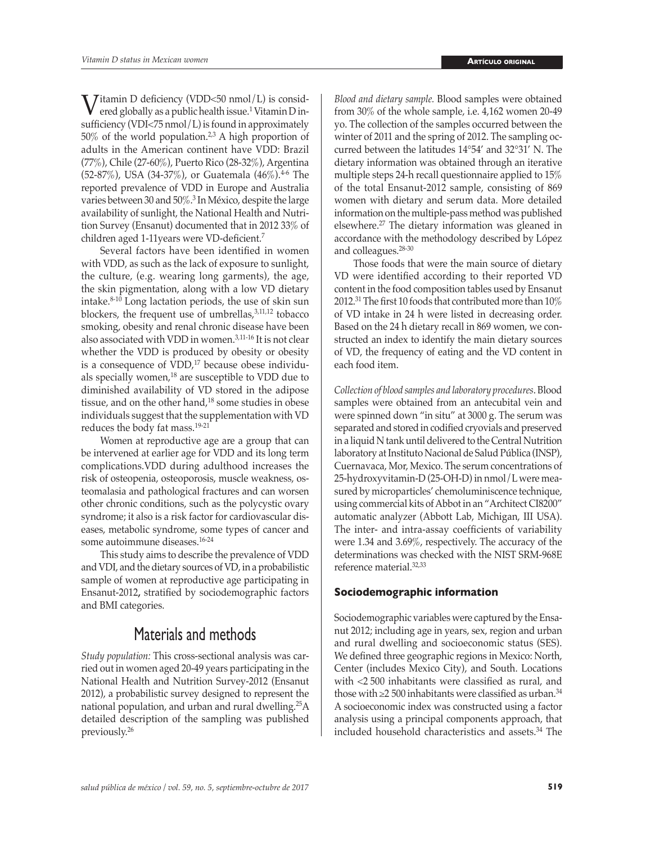Vitamin D deficiency (VDD<50 nmol/L) is considered globally as a public health issue.<sup>1</sup> Vitamin D insufficiency (VDI<75 nmol/L) is found in approximately  $50\%$  of the world population.<sup>2,3</sup> A high proportion of adults in the American continent have VDD: Brazil (77%), Chile (27-60%), Puerto Rico (28-32%), Argentina (52-87%), USA (34-37%), or Guatemala (46%).<sup>4-6</sup> The reported prevalence of VDD in Europe and Australia varies between 30 and 50%.<sup>3</sup> In México, despite the large availability of sunlight, the National Health and Nutrition Survey (Ensanut) documented that in 2012 33% of children aged 1-11years were VD-deficient.<sup>7</sup>

Several factors have been identified in women with VDD, as such as the lack of exposure to sunlight, the culture, (e.g. wearing long garments), the age, the skin pigmentation, along with a low VD dietary intake.8-10 Long lactation periods, the use of skin sun blockers, the frequent use of umbrellas, $3,11,12$  tobacco smoking, obesity and renal chronic disease have been also associated with VDD in women.3,11-16 It is not clear whether the VDD is produced by obesity or obesity is a consequence of  $VDD$ ,<sup>17</sup> because obese individuals specially women,<sup>18</sup> are susceptible to VDD due to diminished availability of VD stored in the adipose tissue, and on the other hand,<sup>18</sup> some studies in obese individuals suggest that the supplementation with VD reduces the body fat mass.19-21

Women at reproductive age are a group that can be intervened at earlier age for VDD and its long term <complications.VDD>during adulthood increases the risk of osteopenia, osteoporosis, muscle weakness, osteomalasia and pathological fractures and can worsen other chronic conditions, such as the polycystic ovary syndrome; it also is a risk factor for cardiovascular diseases, metabolic syndrome, some types of cancer and some autoimmune diseases.16-24

This study aims to describe the prevalence of VDD and VDI, and the dietary sources of VD, in a probabilistic sample of women at reproductive age participating in Ensanut-2012**,** stratified by sociodemographic factors and BMI categories.

## Materials and methods

*Study population:* This cross-sectional analysis was carried out in women aged 20-49 years participating in the National Health and Nutrition Survey-2012 (Ensanut 2012), a probabilistic survey designed to represent the national population, and urban and rural dwelling.<sup>25</sup>A detailed description of the sampling was published previously.<sup>26</sup>

*Blood and dietary sample.* Blood samples were obtained from 30% of the whole sample, i.e. 4,162 women 20-49 yo. The collection of the samples occurred between the winter of 2011 and the spring of 2012. The sampling occurred between the latitudes 14°54' and 32°31' N. The dietary information was obtained through an iterative multiple steps 24-h recall questionnaire applied to 15% of the total Ensanut-2012 sample, consisting of 869 women with dietary and serum data. More detailed information on the multiple-pass method was published elsewhere.27 The dietary information was gleaned in accordance with the methodology described by López and colleagues.28-30

Those foods that were the main source of dietary VD were identified according to their reported VD content in the food composition tables used by Ensanut 2012.<sup>31</sup> The first 10 foods that contributed more than 10% of VD intake in 24 h were listed in decreasing order. Based on the 24 h dietary recall in 869 women, we constructed an index to identify the main dietary sources of VD, the frequency of eating and the VD content in each food item.

*Collection of blood samples and laboratory procedures*. Blood samples were obtained from an antecubital vein and were spinned down "in situ" at 3000 g. The serum was separated and stored in codified cryovials and preserved in a liquid N tank until delivered to the Central Nutrition laboratory at Instituto Nacional de Salud Pública (INSP), Cuernavaca, Mor, Mexico. The serum concentrations of 25-hydroxyvitamin-D (25-OH-D) in nmol/L were measured by microparticles' chemoluminiscence technique, using commercial kits of Abbot in an "Architect CI8200" automatic analyzer (Abbott Lab, Michigan, III USA). The inter- and intra-assay coefficients of variability were 1.34 and 3.69%, respectively. The accuracy of the determinations was checked with the NIST SRM-968E reference material.32,33

#### **Sociodemographic information**

Sociodemographic variables were captured by the Ensanut 2012; including age in years, sex, region and urban and rural dwelling and socioeconomic status (SES). We defined three geographic regions in Mexico: North, Center (includes Mexico City), and South. Locations with <2 500 inhabitants were classified as rural, and those with  $\geq$  500 inhabitants were classified as urban.<sup>34</sup> A socioeconomic index was constructed using a factor analysis using a principal components approach, that included household characteristics and assets.34 The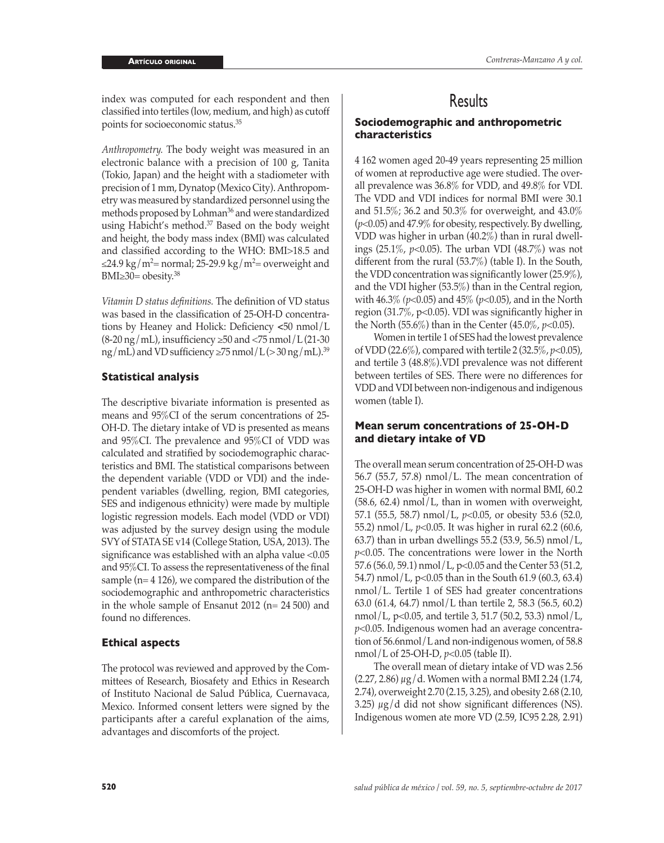index was computed for each respondent and then classified into tertiles (low, medium, and high) as cutoff points for socioeconomic status.35

*Anthropometry.* The body weight was measured in an electronic balance with a precision of 100 g, Tanita (Tokio, Japan) and the height with a stadiometer with precision of 1 mm, Dynatop (Mexico City). Anthropometry was measured by standardized personnel using the methods proposed by Lohman<sup>36</sup> and were standardized using Habicht's method.<sup>37</sup> Based on the body weight and height, the body mass index (BMI) was calculated and classified according to the WHO: BMI>18.5 and ≤24.9 kg/m²= normal; 25-29.9 kg/m²= overweight and BMI $\geq$ 30= obesity.<sup>38</sup>

*Vitamin D status definitions.* The definition of VD status was based in the classification of 25-OH-D concentrations by Heaney and Holick: Deficiency **<**50 nmol/L  $(8-20 \text{ ng/mL})$ , insufficiency  $\geq 50$  and  $\lt 75$  nmol/L (21-30)  $mg/mL)$  and VD sufficiency  $\geq$ 75 nmol/L( $>$ 30 ng/mL).<sup>39</sup>

#### **Statistical analysis**

The descriptive bivariate information is presented as means and 95%CI of the serum concentrations of 25- OH-D. The dietary intake of VD is presented as means and 95%CI. The prevalence and 95%CI of VDD was calculated and stratified by sociodemographic characteristics and BMI. The statistical comparisons between the dependent variable (VDD or VDI) and the independent variables (dwelling, region, BMI categories, SES and indigenous ethnicity) were made by multiple logistic regression models. Each model (VDD or VDI) was adjusted by the survey design using the module SVY of STATA SE v14 (College Station, USA, 2013). The significance was established with an alpha value <0.05 and 95%CI. To assess the representativeness of the final sample (n= 4 126), we compared the distribution of the sociodemographic and anthropometric characteristics in the whole sample of Ensanut 2012 (n= 24 500) and found no differences.

#### **Ethical aspects**

The protocol was reviewed and approved by the Committees of Research, Biosafety and Ethics in Research of Instituto Nacional de Salud Pública, Cuernavaca, Mexico. Informed consent letters were signed by the participants after a careful explanation of the aims, advantages and discomforts of the project.

## **Results**

#### **Sociodemographic and anthropometric characteristics**

4 162 women aged 20-49 years representing 25 million of women at reproductive age were studied. The overall prevalence was 36.8% for VDD, and 49.8% for VDI. The VDD and VDI indices for normal BMI were 30.1 and 51.5%; 36.2 and 50.3% for overweight, and 43.0% (*p*<0.05) and 47.9% for obesity, respectively. By dwelling, VDD was higher in urban (40.2%) than in rural dwellings (25.1%, *p*<0.05). The urban VDI (48.7%) was not different from the rural (53.7%) (table I). In the South, the VDD concentration was significantly lower (25.9%), and the VDI higher (53.5%) than in the Central region, with 46.3% *(p*<0.05) and 45% (*p*<0.05), and in the North region (31.7%, p<0.05). VDI was significantly higher in the North (55.6%) than in the Center (45.0%, *p*<0.05).

Women in tertile 1 of SES had the lowest prevalence of VDD (22.6%), compared with tertile 2 (32.5%, *p*<0.05), and tertile 3 (48.8%).VDI prevalence was not different between tertiles of SES. There were no differences for VDD and VDI between non-indigenous and indigenous women (table I).

#### **Mean serum concentrations of 25-OH-D and dietary intake of VD**

The overall mean serum concentration of 25-OH-D was 56.7 (55.7, 57.8) nmol/L. The mean concentration of 25-OH-D was higher in women with normal BMI, 60.2 (58.6, 62.4) nmol/L, than in women with overweight, 57.1 (55.5, 58.7) nmol/L, *p*<0.05, or obesity 53.6 (52.0, 55.2) nmol/L, *p*<0.05. It was higher in rural 62.2 (60.6, 63.7) than in urban dwellings 55.2 (53.9, 56.5) nmol/L, *p*<0.05. The concentrations were lower in the North 57.6 (56.0, 59.1) nmol/L, p<0.05 and the Center 53 (51.2, 54.7) nmol/L, p<0.05 than in the South 61.9 (60.3, 63.4) nmol/L. Tertile 1 of SES had greater concentrations 63.0 (61.4, 64.7) nmol/L than tertile 2, 58.3 (56.5, 60.2) nmol/L, p<0.05, and tertile 3, 51.7 (50.2, 53.3) nmol/L, *p*<0.05. Indigenous women had an average concentration of 56.6nmol/L and non-indigenous women, of 58.8 nmol/L of 25-OH-D, *p*<0.05 (table II).

The overall mean of dietary intake of VD was 2.56 (2.27, 2.86) μg/d. Women with a normal BMI 2.24 (1.74, 2.74), overweight 2.70 (2.15, 3.25), and obesity 2.68 (2.10, 3.25)  $\mu$ g/d did not show significant differences (NS). Indigenous women ate more VD (2.59, IC95 2.28, 2.91)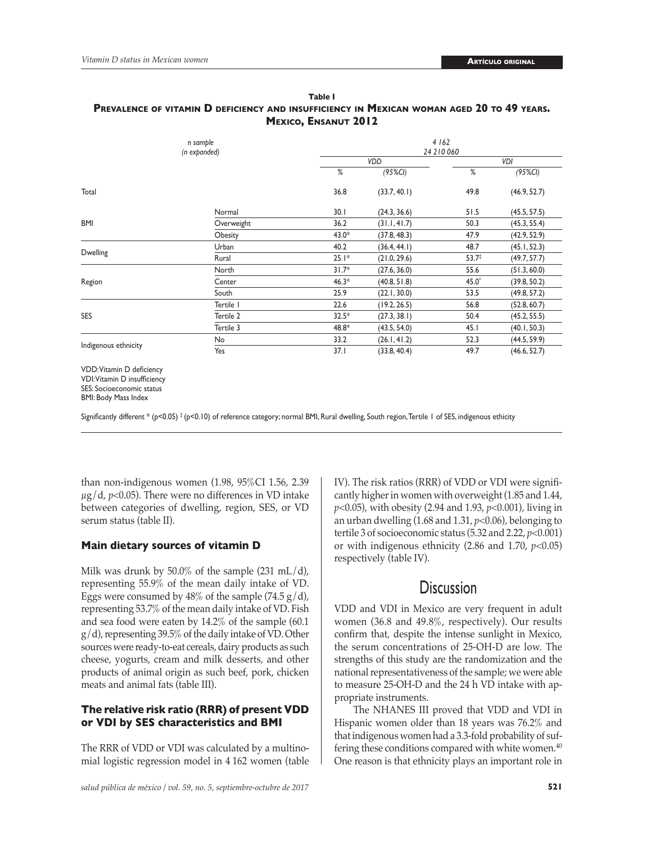| n sample<br>(n expanded)                                  |            | 4 162<br>24 210 060 |              |                   |              |  |  |
|-----------------------------------------------------------|------------|---------------------|--------------|-------------------|--------------|--|--|
|                                                           |            |                     | <b>VDD</b>   | VDI               |              |  |  |
|                                                           |            | %                   | $(95\%Cl)$   | $\%$              | $(95\%Cl)$   |  |  |
| Total                                                     |            | 36.8                | (33.7, 40.1) | 49.8              | (46.9, 52.7) |  |  |
|                                                           | Normal     | 30.1                | (24.3, 36.6) | 51.5              | (45.5, 57.5) |  |  |
| <b>BMI</b>                                                | Overweight | 36.2                | (31.1, 41.7) | 50.3              | (45.3, 55.4) |  |  |
|                                                           | Obesity    | $43.0*$             | (37.8, 48.3) | 47.9              | (42.9, 52.9) |  |  |
| <b>Dwelling</b>                                           | Urban      | 40.2                | (36.4, 44.1) | 48.7              | (45.1, 52.3) |  |  |
|                                                           | Rural      | $25.1*$             | (21.0, 29.6) | $53.7^{\ddagger}$ | (49.7, 57.7) |  |  |
|                                                           | North      | $31.7*$             | (27.6, 36.0) | 55.6              | (51.3, 60.0) |  |  |
| Region                                                    | Center     | $46.3*$             | (40.8, 51.8) | $45.0*$           | (39.8, 50.2) |  |  |
|                                                           | South      | 25.9                | (22.1, 30.0) | 53.5              | (49.8, 57.2) |  |  |
|                                                           | Tertile I  | 22.6                | (19.2, 26.5) | 56.8              | (52.8, 60.7) |  |  |
| <b>SES</b>                                                | Tertile 2  | $32.5*$             | (27.3, 38.1) | 50.4              | (45.2, 55.5) |  |  |
|                                                           | Tertile 3  | 48.8*               | (43.5, 54.0) | 45.1              | (40.1, 50.3) |  |  |
|                                                           | No         | 33.2                | (26.1, 41.2) | 52.3              | (44.5, 59.9) |  |  |
| Indigenous ethnicity                                      | Yes        | 37.1                | (33.8, 40.4) | 49.7              | (46.6, 52.7) |  |  |
| VDD: Vitamin D deficiency<br>VDI: Vitamin D insufficiency |            |                     |              |                   |              |  |  |

#### **Table I Prevalence of vitamin D deficiency and insufficiency in Mexican woman aged 20 to 49 years. Mexico, Ensanut 2012**

SES: Socioeconomic status BMI: Body Mass Index

Significantly different \* (p<0.05)  $\frac{4}{7}$  (p<0.10) of reference category; normal BMI, Rural dwelling, South region, Tertile 1 of SES, indigenous ethicity

than non-indigenous women (1.98, 95%CI 1.56, 2.39  $\mu$ g/d, *p*<0.05). There were no differences in VD intake between categories of dwelling, region, SES, or VD serum status (table II).

#### **Main dietary sources of vitamin D**

Milk was drunk by 50.0% of the sample (231 mL/d), representing 55.9% of the mean daily intake of VD. Eggs were consumed by  $48\%$  of the sample (74.5 g/d), representing 53.7% of the mean daily intake of VD. Fish and sea food were eaten by 14.2% of the sample (60.1 g/d), representing 39.5% of the daily intake of VD. Other sources were ready-to-eat cereals, dairy products as such cheese, yogurts, cream and milk desserts, and other products of animal origin as such beef, pork, chicken meats and animal fats (table III).

#### **The relative risk ratio (RRR) of present VDD or VDI by SES characteristics and BMI**

The RRR of VDD or VDI was calculated by a multinomial logistic regression model in 4 162 women (table IV). The risk ratios (RRR) of VDD or VDI were significantly higher in women with overweight (1.85 and 1.44, *p*<0.05), with obesity (2.94 and 1.93, *p*<0.001), living in an urban dwelling (1.68 and 1.31, *p*<0.06), belonging to tertile 3 of socioeconomic status (5.32 and 2.22, *p*<0.001) or with indigenous ethnicity (2.86 and 1.70, *p*<0.05) respectively (table IV).

### **Discussion**

VDD and VDI in Mexico are very frequent in adult women (36.8 and 49.8%, respectively). Our results confirm that, despite the intense sunlight in Mexico, the serum concentrations of 25-OH-D are low. The strengths of this study are the randomization and the national representativeness of the sample; we were able to measure 25-OH-D and the 24 h VD intake with appropriate instruments.

The NHANES III proved that VDD and VDI in Hispanic women older than 18 years was 76.2% and that indigenous women had a 3.3-fold probability of suffering these conditions compared with white women.<sup>40</sup> One reason is that ethnicity plays an important role in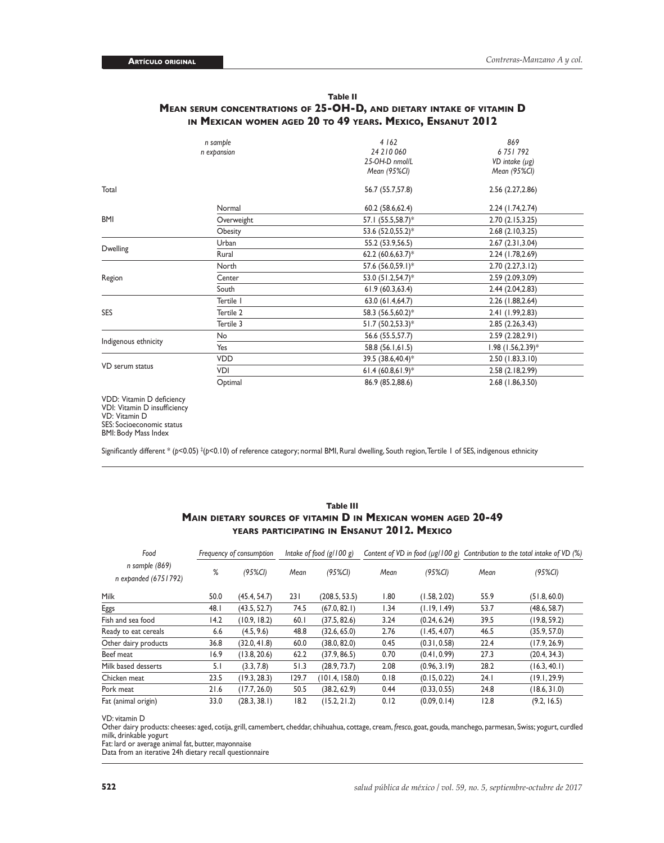#### **Table II Mean serum concentrations of 25-OH-D, and dietary intake of vitamin D in Mexican women aged 20 to 49 years. Mexico, Ensanut 2012**

| n sample<br>n expansion |            | 4 1 6 2<br>24 210 060<br>25-OH-D nmol/L<br>Mean (95%CI) | 869<br>6751792<br>VD intake $(\mu g)$<br>Mean (95%CI) |  |
|-------------------------|------------|---------------------------------------------------------|-------------------------------------------------------|--|
| Total                   |            | 56.7 (55.7,57.8)                                        | 2.56(2.27, 2.86)                                      |  |
|                         | Normal     | 60.2 (58.6,62.4)                                        | 2.24 (1.74, 2.74)                                     |  |
| <b>BMI</b>              | Overweight | 57.1 (55.5,58.7)*                                       | 2.70(2.15, 3.25)                                      |  |
|                         | Obesity    | 53.6 (52.0,55.2)*                                       | 2.68(2.10, 3.25)                                      |  |
|                         | Urban      | 55.2 (53.9,56.5)                                        | 2.67(2.31, 3.04)                                      |  |
| <b>Dwelling</b>         | Rural      | 62.2 $(60.6, 63.7)^*$                                   | 2.24 (1.78, 2.69)                                     |  |
|                         | North      | 57.6 (56.0,59.1)*                                       | 2.70(2.27, 3.12)                                      |  |
| Region                  | Center     | 53.0 (51.2,54.7)*                                       | 2.59 (2.09,3.09)                                      |  |
|                         | South      | 61.9(60.3,63.4)                                         | 2.44(2.04, 2.83)                                      |  |
|                         | Tertile I  | 63.0 (61.4,64.7)                                        | 2.26 (1.88, 2.64)                                     |  |
| <b>SES</b>              | Tertile 2  | 58.3 (56.5,60.2)*                                       | 2.41 (1.99, 2.83)                                     |  |
|                         | Tertile 3  | $51.7 (50.2, 53.3)^*$                                   | 2.85(2.26, 3.43)                                      |  |
| Indigenous ethnicity    | No         | 56.6 (55.5,57.7)                                        | 2.59(2.28, 2.91)                                      |  |
|                         | Yes        | 58.8 (56.1,61.5)                                        | $1.98$ (1.56, 2.39) <sup>*</sup>                      |  |
|                         | <b>VDD</b> | 39.5 (38.6,40.4)*                                       | 2.50(1.83, 3.10)                                      |  |
| VD serum status         | VDI        | 61.4 $(60.8,61.9)*$                                     | 2.58 (2.18,2.99)                                      |  |
|                         | Optimal    | 86.9 (85.2,88.6)                                        | 2.68 (1.86, 3.50)                                     |  |

VDD: Vitamin D deficiency VDI: Vitamin D insufficiency VD: Vitamin D SES: Socioeconomic status BMI: Body Mass Index

Significantly different \* (*p*<0.05) ‡ (*p*<0.10) of reference category; normal BMI, Rural dwelling, South region, Tertile 1 of SES, indigenous ethnicity

#### **Table III Main dietary sources of vitamin D in Mexican women aged 20-49 years participating in Ensanut 2012. Mexico**

| Food<br>n sample (869)<br>n expanded (6751792) | Frequency of consumption |              | Intake of food $(g/100 g)$ |                | Content of VD in food $(\mu g / 100 g)$ |              | Contribution to the total intake of VD (%) |              |
|------------------------------------------------|--------------------------|--------------|----------------------------|----------------|-----------------------------------------|--------------|--------------------------------------------|--------------|
|                                                | %                        | $(95\%CI)$   | Mean                       | $(95\%Cl)$     | Mean                                    | $(95\%CI)$   | Mean                                       | $(95\%CI)$   |
| Milk                                           | 50.0                     | (45.4, 54.7) | 231                        | (208.5, 53.5)  | 1.80                                    | (1.58, 2.02) | 55.9                                       | (51.8, 60.0) |
| Eggs                                           | 48.I                     | (43.5, 52.7) | 74.5                       | (67.0, 82.1)   | 1.34                                    | (1.19, 1.49) | 53.7                                       | (48.6, 58.7) |
| Fish and sea food                              | 14.2                     | (10.9, 18.2) | 60.1                       | (37.5, 82.6)   | 3.24                                    | (0.24, 6.24) | 39.5                                       | (19.8, 59.2) |
| Ready to eat cereals                           | 6.6                      | (4.5, 9.6)   | 48.8                       | (32.6, 65.0)   | 2.76                                    | (1.45, 4.07) | 46.5                                       | (35.9, 57.0) |
| Other dairy products                           | 36.8                     | (32.0, 41.8) | 60.0                       | (38.0, 82.0)   | 0.45                                    | (0.31, 0.58) | 22.4                                       | (17.9, 26.9) |
| Beef meat                                      | 16.9                     | (13.8, 20.6) | 62.2                       | (37.9, 86.5)   | 0.70                                    | (0.41, 0.99) | 27.3                                       | (20.4, 34.3) |
| Milk based desserts                            | 5.1                      | (3.3, 7.8)   | 51.3                       | (28.9, 73.7)   | 2.08                                    | (0.96, 3.19) | 28.2                                       | (16.3, 40.1) |
| Chicken meat                                   | 23.5                     | (19.3, 28.3) | 129.7                      | (101.4, 158.0) | 0.18                                    | (0.15, 0.22) | 24.1                                       | (19.1, 29.9) |
| Pork meat                                      | 21.6                     | (17.7, 26.0) | 50.5                       | (38.2, 62.9)   | 0.44                                    | (0.33, 0.55) | 24.8                                       | (18.6, 31.0) |
| Fat (animal origin)                            | 33.0                     | (28.3, 38.1) | 18.2                       | (15.2, 21.2)   | 0.12                                    | (0.09, 0.14) | 12.8                                       | (9.2, 16.5)  |

VD: vitamin D

Other dairy products: cheeses: aged, cotija, grill, camembert, cheddar, chihuahua, cottage, cream, fresco, goat, gouda, manchego, parmesan, Swiss; yogurt, curdled<br>milk, drinkable yogurt

Fat: lard or average animal fat, butter, mayonnaise

Data from an iterative 24h dietary recall questionnaire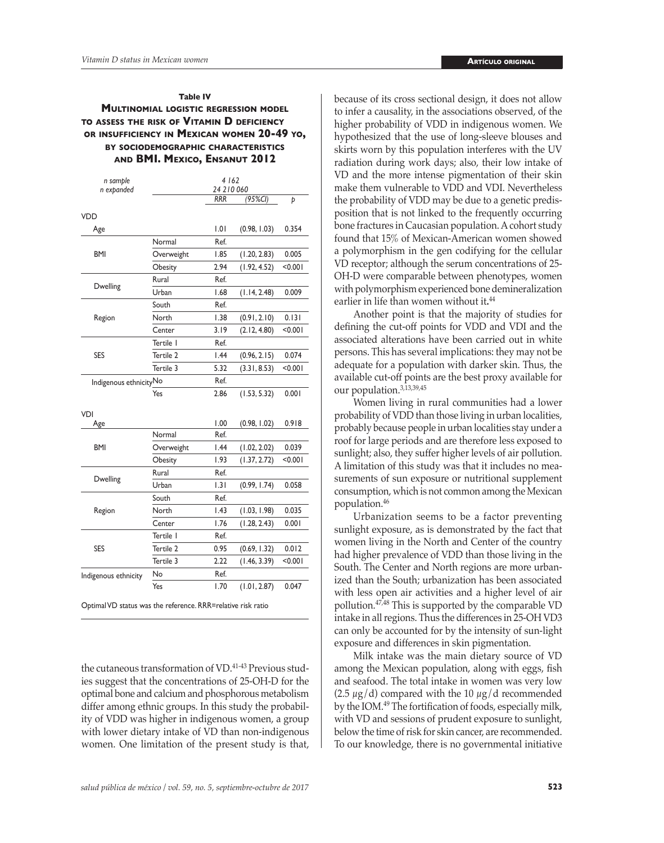#### **Table IV Multinomial logistic regression model to assess the risk of Vitamin D deficiency or insufficiency in Mexican women 20-49 yo, by sociodemographic characteristics and BMI. Mexico, Ensanut 2012**

| n sample                                                     |            | 4 162<br>24 210 060 |              |         |  |
|--------------------------------------------------------------|------------|---------------------|--------------|---------|--|
| n expanded                                                   |            | <b>RRR</b>          | (95%CI)      | Þ       |  |
|                                                              |            |                     |              |         |  |
| VDD                                                          |            | 1.01                | (0.98, 1.03) | 0.354   |  |
| Age                                                          |            |                     |              |         |  |
|                                                              | Normal     | Ref.                |              |         |  |
| <b>BMI</b>                                                   | Overweight | 1.85                | (1.20, 2.83) | 0.005   |  |
|                                                              | Obesity    | 2.94                | (1.92, 4.52) | < 0.001 |  |
| Dwelling                                                     | Rural      | Ref.                |              |         |  |
|                                                              | Urban      | 1.68                | (1.14, 2.48) | 0.009   |  |
|                                                              | South      | Ref.                |              |         |  |
| Region                                                       | North      | 1.38                | (0.91, 2.10) | 0.131   |  |
|                                                              | Center     | 3.19                | (2.12, 4.80) | < 0.001 |  |
|                                                              | Tertile I  | Ref.                |              |         |  |
| <b>SES</b>                                                   | Tertile 2  | 1.44                | (0.96, 2.15) | 0.074   |  |
|                                                              | Tertile 3  | 5.32                | (3.31, 8.53) | < 0.001 |  |
| Indigenous ethnicityNo                                       |            | Ref.                |              |         |  |
|                                                              | Yes        | 2.86                | (1.53, 5.32) | 0.001   |  |
| VDI                                                          |            |                     |              |         |  |
| Age                                                          |            | 1.00                | (0.98, 1.02) | 0.918   |  |
|                                                              | Normal     | Ref.                |              |         |  |
| <b>BMI</b>                                                   | Overweight | 1.44                | (1.02, 2.02) | 0.039   |  |
|                                                              | Obesity    | 1.93                | (1.37, 2.72) | < 0.001 |  |
| Dwelling                                                     | Rural      | Ref.                |              |         |  |
|                                                              | Urban      | 1.31                | (0.99, 1.74) | 0.058   |  |
|                                                              | South      | Ref.                |              |         |  |
| Region                                                       | North      | 1.43                | (1.03, 1.98) | 0.035   |  |
|                                                              | Center     | 1.76                | (1.28, 2.43) | 0.001   |  |
|                                                              | Tertile I  | Ref.                |              |         |  |
| <b>SES</b>                                                   | Tertile 2  | 0.95                | (0.69, 1.32) | 0.012   |  |
|                                                              | Tertile 3  | 2.22                | (1.46, 3.39) | < 0.001 |  |
| Indigenous ethnicity                                         | No         | Ref.                |              |         |  |
|                                                              | Yes        | 1.70                | (1.01, 2.87) | 0.047   |  |
| Optimal VD status was the reference. RRR=relative risk ratio |            |                     |              |         |  |

the cutaneous transformation of VD.41-43 Previous studies suggest that the concentrations of 25-OH-D for the optimal bone and calcium and phosphorous metabolism differ among ethnic groups. In this study the probability of VDD was higher in indigenous women, a group with lower dietary intake of VD than non-indigenous women. One limitation of the present study is that, because of its cross sectional design, it does not allow to infer a causality, in the associations observed, of the higher probability of VDD in indigenous women. We hypothesized that the use of long-sleeve blouses and skirts worn by this population interferes with the UV radiation during work days; also, their low intake of VD and the more intense pigmentation of their skin make them vulnerable to VDD and VDI. Nevertheless the probability of VDD may be due to a genetic predisposition that is not linked to the frequently occurring bone fractures in Caucasian population. A cohort study found that 15% of Mexican-American women showed a polymorphism in the gen codifying for the cellular VD receptor; although the serum concentrations of 25- OH-D were comparable between phenotypes, women with polymorphism experienced bone demineralization earlier in life than women without it**.** 44

Another point is that the majority of studies for defining the cut-off points for VDD and VDI and the associated alterations have been carried out in white persons. This has several implications: they may not be adequate for a population with darker skin. Thus, the available cut-off points are the best proxy available for our population.<sup>3,13,39,45</sup>

Women living in rural communities had a lower probability of VDD than those living in urban localities, probably because people in urban localities stay under a roof for large periods and are therefore less exposed to sunlight; also, they suffer higher levels of air pollution. A limitation of this study was that it includes no measurements of sun exposure or nutritional supplement consumption, which is not common among the Mexican population.<sup>46</sup>

Urbanization seems to be a factor preventing sunlight exposure, as is demonstrated by the fact that women living in the North and Center of the country had higher prevalence of VDD than those living in the South. The Center and North regions are more urbanized than the South; urbanization has been associated with less open air activities and a higher level of air pollution.47,48 This is supported by the comparable VD intake in all regions. Thus the differences in 25-OH VD3 can only be accounted for by the intensity of sun-light exposure and differences in skin pigmentation.

Milk intake was the main dietary source of VD among the Mexican population, along with eggs, fish and seafood. The total intake in women was very low  $(2.5 \mu g/d)$  compared with the 10  $\mu g/d$  recommended by the IOM.49 The fortification of foods, especially milk, with VD and sessions of prudent exposure to sunlight, below the time of risk for skin cancer, are recommended. To our knowledge, there is no governmental initiative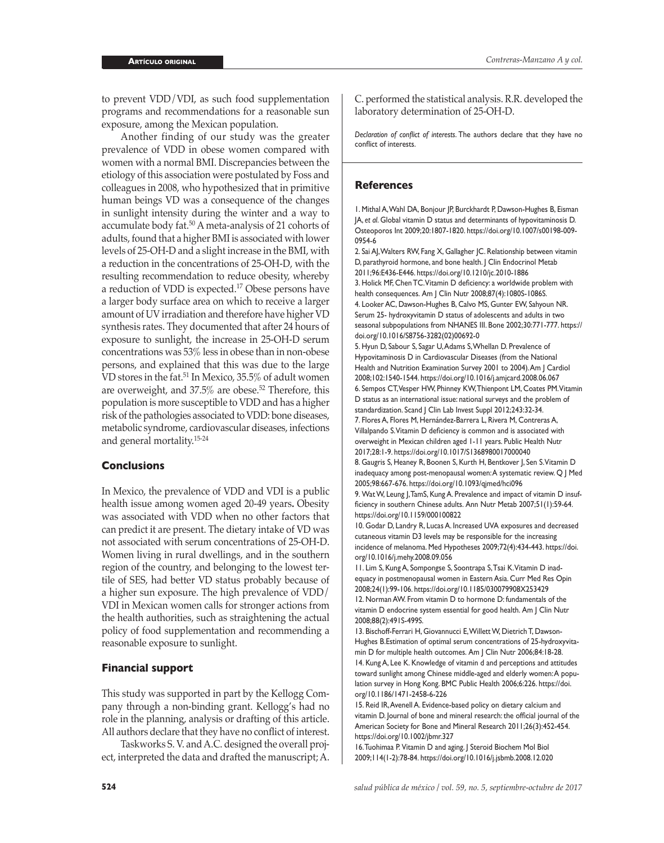to prevent VDD/VDI, as such food supplementation programs and recommendations for a reasonable sun exposure, among the Mexican population.

Another finding of our study was the greater prevalence of VDD in obese women compared with women with a normal BMI. Discrepancies between the etiology of this association were postulated by Foss and colleagues in 2008, who hypothesized that in primitive human beings VD was a consequence of the changes in sunlight intensity during the winter and a way to accumulate body fat.<sup>50</sup> A meta-analysis of 21 cohorts of adults, found that a higher BMI is associated with lower levels of 25-OH-D and a slight increase in the BMI, with a reduction in the concentrations of 25-OH-D, with the resulting recommendation to reduce obesity, whereby a reduction of VDD is expected.17 Obese persons have a larger body surface area on which to receive a larger amount of UV irradiation and therefore have higher VD synthesis rates. They documented that after 24 hours of exposure to sunlight, the increase in 25-OH-D serum concentrations was 53% less in obese than in non-obese persons, and explained that this was due to the large VD stores in the fat.<sup>51</sup> In Mexico, 35.5% of adult women are overweight, and 37.5% are obese.<sup>52</sup> Therefore, this population is more susceptible to VDD and has a higher risk of the pathologies associated to VDD: bone diseases, metabolic syndrome, cardiovascular diseases, infections and general mortality.15-24

#### **Conclusions**

In Mexico, the prevalence of VDD and VDI is a public health issue among women aged 20-49 years**.** Obesity was associated with VDD when no other factors that can predict it are present. The dietary intake of VD was not associated with serum concentrations of 25-OH-D. Women living in rural dwellings, and in the southern region of the country, and belonging to the lowest tertile of SES, had better VD status probably because of a higher sun exposure. The high prevalence of VDD/ VDI in Mexican women calls for stronger actions from the health authorities, such as straightening the actual policy of food supplementation and recommending a reasonable exposure to sunlight.

#### **Financial support**

This study was supported in part by the Kellogg Company through a non-binding grant. Kellogg's had no role in the planning, analysis or drafting of this article. All authors declare that they have no conflict of interest.

Taskworks S. V. and A.C. designed the overall project, interpreted the data and drafted the manuscript; A. C. performed the statistical analysis. R.R. developed the laboratory determination of 25-OH-D.

*Declaration of conflict of interests*. The authors declare that they have no conflict of interests.

#### **References**

1. Mithal A, Wahl DA, Bonjour JP, Burckhardt P, Dawson-Hughes B, Eisman JA, *et al*. Global vitamin D status and determinants of hypovitaminosis D. Osteoporos Int 2009;20:1807-1820. [https://doi.org/10.1007/s00198-](https://doi.org/10.1007/s00198-009-0954-6)009- 0954-6

2. Sai AJ, Walters RW, Fang X, Gallagher JC. Relationship between vitamin D, parathyroid hormone, and bone health. J Clin Endocrinol Metab 2011;96:E436-E446.<https://doi.org/10.1210/jc.2010>-1886 3. Holick MF, Chen TC. Vitamin D deficiency: a worldwide problem with health consequences. Am J Clin Nutr 2008;87(4):1080S-1086S. 4. Looker AC, Dawson-Hughes B, Calvo MS, Gunter EW, Sahyoun NR. Serum 25- hydroxyvitamin D status of adolescents and adults in two seasonal subpopulations from NHANES III. Bone 2002;30:771-777. [https://](https://doi.org/10.1016/S8756-3282(02)00692-0) [doi.org/10.1016/S8756-](https://doi.org/10.1016/S8756-3282(02)00692-0)3282(02)00692-0

5. Hyun D, Sabour S, Sagar U, Adams S, Whellan D. Prevalence of Hypovitaminosis D in Cardiovascular Diseases (from the National Health and Nutrition Examination Survey 2001 to 2004). Am J Cardiol 2008;102:1540-1544. <https://doi.org/10.1016/j.amjcard.2008.06.067> 6. Sempos CT, Vesper HW, Phinney KW, Thienpont LM, Coates PM. Vitamin D status as an international issue: national surveys and the problem of standardization. Scand J Clin Lab Invest Suppl 2012;243:32-34. 7. Flores A, Flores M, Hernández-Barrera L, Rivera M, Contreras A, Villalpando S. Vitamin D deficiency is common and is associated with overweight in Mexican children aged 1-11 years. Public Health Nutr

2017;28:1-9. <https://doi.org/10.1017/S1368980017000040> 8. Gaugris S, Heaney R, Boonen S, Kurth H, Bentkover J, Sen S. Vitamin D

inadequacy among post-menopausal women: A systematic review. Q J Med 2005;98:667-676. <https://doi.org/10.1093/qjmed/hci096>

9. Wat W, Leung J, TamS, Kung A. Prevalence and impact of vitamin D insufficiency in southern Chinese adults. Ann Nutr Metab 2007;51(1):59-64. <https://doi.org/10.1159/000100822>

10. Godar D, Landry R, Lucas A. Increased UVA exposures and decreased cutaneous vitamin D3 levels may be responsible for the increasing incidence of melanoma. Med Hypotheses 2009;72(4):434-443. [https://doi.](https://doi.org/10.1016/j.mehy.2008.09.056) [org/10.1016/j.mehy.2008.09.056](https://doi.org/10.1016/j.mehy.2008.09.056)

11. Lim S, Kung A, Sompongse S, Soontrapa S, Tsai K. Vitamin D inadequacy in postmenopausal women in Eastern Asia. Curr Med Res Opin 2008;24(1):99-106. <https://doi.org/10.1185/030079908X253429>

12. Norman AW. From vitamin D to hormone D: fundamentals of the vitamin D endocrine system essential for good health. Am J Clin Nutr 2008;88(2):491S-499S.

13. Bischoff-Ferrari H, Giovannucci E, Willett W, Dietrich T, Dawson-Hughes<B.Estimation> of optimal serum concentrations of 25-hydroxyvitamin D for multiple health outcomes. Am J Clin Nutr 2006;84:18-28. 14. Kung A, Lee K. Knowledge of vitamin d and perceptions and attitudes toward sunlight among Chinese middle-aged and elderly women: A population survey in Hong Kong. BMC Public Health 2006;6:226. [https://doi.](https://doi.org/10.1186/1471-2458-6-226) [org/10.1186/1471-2458-6-226](https://doi.org/10.1186/1471-2458-6-226)

15. Reid IR, Avenell A. Evidence-based policy on dietary calcium and vitamin D. Journal of bone and mineral research: the official journal of the American Society for Bone and Mineral Research 2011;26(3):452-454. <https://doi.org/10.1002/jbmr.327>

16. Tuohimaa P. Vitamin D and aging. J Steroid Biochem Mol Biol 2009;114(1-2):78-84. <https://doi.org/10.1016/j.jsbmb.2008.12.020>